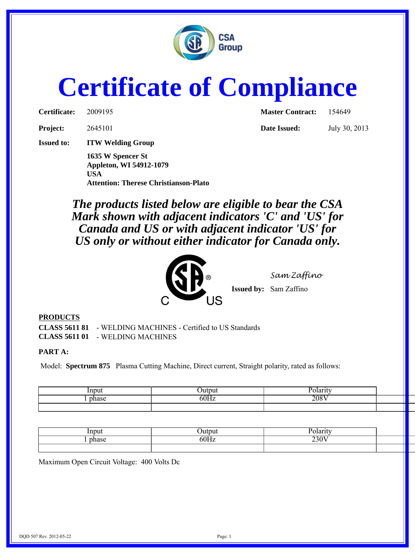

# **Certificate of Compliance**

| Certificate: | 200919 |
|--------------|--------|
|              |        |

**Issued to: ITW Welding Group**

**1635 W Spencer St Appleton, WI 54912-1079 USA Attention: Therese Christianson-Plato**

**Certificate:** 2009195 **Master Contract:** 154649

**Project:** 2645101 **Date Issued:** July 30, 2013

*The products listed below are eligible to bear the CSA Mark shown with adjacent indicators 'C' and 'US' for Canada and US or with adjacent indicator 'US' for US only or without either indicator for Canada only.*



*Sam Zaffino*

**Issued by:** Sam Zaffino

#### **PRODUCTS**

**CLASS 5611 81** - WELDING MACHINES - Certified to US Standards **CLASS 5611 01** - WELDING MACHINES

#### **PART A:**

Model: **Spectrum 875** Plasma Cutting Machine, Direct current, Straight polarity, rated as follows:

|       | Outpu | $\sim$ ORTHER |  |
|-------|-------|---------------|--|
| phase | −⊔۵∡  | .<br>. 1.1    |  |
|       |       |               |  |

| mnn<br>uu   | hitmin<br>uwu       | <b>Polarity</b>         |  |
|-------------|---------------------|-------------------------|--|
| <b>UII.</b> | ⊆∩TT.<br>$\sim$ $-$ | $\overline{230V}$<br>-- |  |
|             |                     |                         |  |

Maximum Open Circuit Voltage: 400 Volts Dc